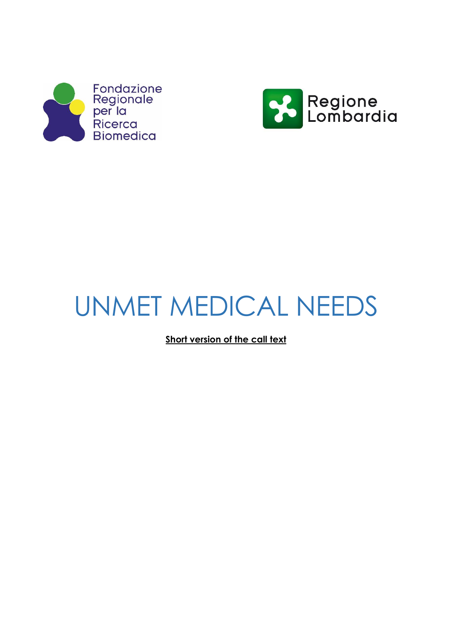



# UNMET MEDICAL NEEDS

**Short version of the call text**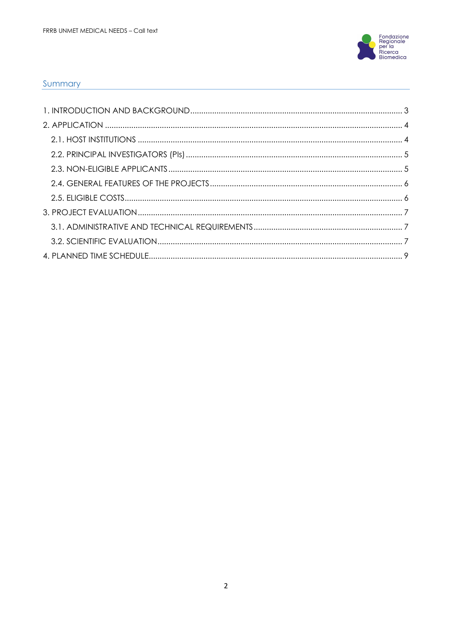

#### Summary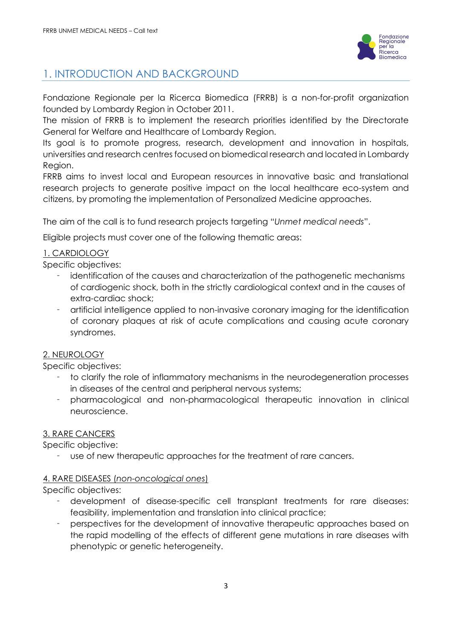

# <span id="page-2-0"></span>1. INTRODUCTION AND BACKGROUND

Fondazione Regionale per la Ricerca Biomedica (FRRB) is a non-for-profit organization founded by Lombardy Region in October 2011.

The mission of FRRB is to implement the research priorities identified by the Directorate General for Welfare and Healthcare of Lombardy Region.

Its goal is to promote progress, research, development and innovation in hospitals, universities and research centres focused on biomedical research and located in Lombardy Region.

FRRB aims to invest local and European resources in innovative basic and translational research projects to generate positive impact on the local healthcare eco-system and citizens, by promoting the implementation of Personalized Medicine approaches.

The aim of the call is to fund research projects targeting "*Unmet medical needs*".

Eligible projects must cover one of the following thematic areas:

### 1. CARDIOLOGY

Specific objectives:

- identification of the causes and characterization of the pathogenetic mechanisms of cardiogenic shock, both in the strictly cardiological context and in the causes of extra-cardiac shock;
- artificial intelligence applied to non-invasive coronary imaging for the identification of coronary plaques at risk of acute complications and causing acute coronary syndromes.

### 2. NEUROLOGY

Specific objectives:

- to clarify the role of inflammatory mechanisms in the neurodegeneration processes in diseases of the central and peripheral nervous systems;
- pharmacological and non-pharmacological therapeutic innovation in clinical neuroscience.

### 3. RARE CANCERS

Specific objective:

use of new therapeutic approaches for the treatment of rare cancers.

### 4. RARE DISEASES (*non-oncological ones*)

Specific objectives:

- development of disease-specific cell transplant treatments for rare diseases: feasibility, implementation and translation into clinical practice;
- perspectives for the development of innovative therapeutic approaches based on the rapid modelling of the effects of different gene mutations in rare diseases with phenotypic or genetic heterogeneity.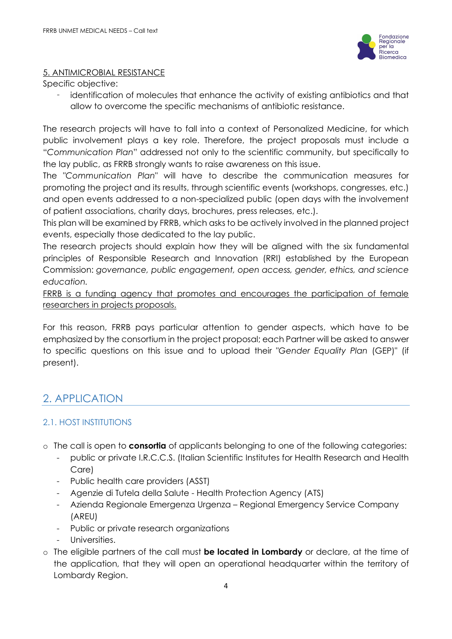

#### 5. ANTIMICROBIAL RESISTANCE

Specific objective:

 identification of molecules that enhance the activity of existing antibiotics and that allow to overcome the specific mechanisms of antibiotic resistance.

The research projects will have to fall into a context of Personalized Medicine, for which public involvement plays a key role. Therefore, the project proposals must include a "*Communication Plan*" addressed not only to the scientific community, but specifically to the lay public, as FRRB strongly wants to raise awareness on this issue.

The "*Communication Plan*" will have to describe the communication measures for promoting the project and its results, through scientific events (workshops, congresses, etc.) and open events addressed to a non-specialized public (open days with the involvement of patient associations, charity days, brochures, press releases, etc.).

This plan will be examined by FRRB, which asks to be actively involved in the planned project events, especially those dedicated to the lay public.

The research projects should explain how they will be aligned with the six fundamental principles of Responsible Research and Innovation (RRI) established by the European Commission: *governance, public engagement, open access, gender, ethics, and science education.* 

FRRB is a funding agency that promotes and encourages the participation of female researchers in projects proposals.

For this reason, FRRB pays particular attention to gender aspects, which have to be emphasized by the consortium in the project proposal; each Partner will be asked to answer to specific questions on this issue and to upload their "*Gender Equality Plan* (GEP)" (if present).

# <span id="page-3-0"></span>2. APPLICATION

# <span id="page-3-1"></span>2.1. HOST INSTITUTIONS

- o The call is open to **consortia** of applicants belonging to one of the following categories:
	- public or private I.R.C.C.S. (Italian Scientific Institutes for Health Research and Health Care)
	- Public health care providers (ASST)
	- Agenzie di Tutela della Salute Health Protection Agency (ATS)
	- Azienda Regionale Emergenza Urgenza Regional Emergency Service Company (AREU)
	- Public or private research organizations
	- Universities.
- o The eligible partners of the call must **be located in Lombardy** or declare, at the time of the application, that they will open an operational headquarter within the territory of Lombardy Region.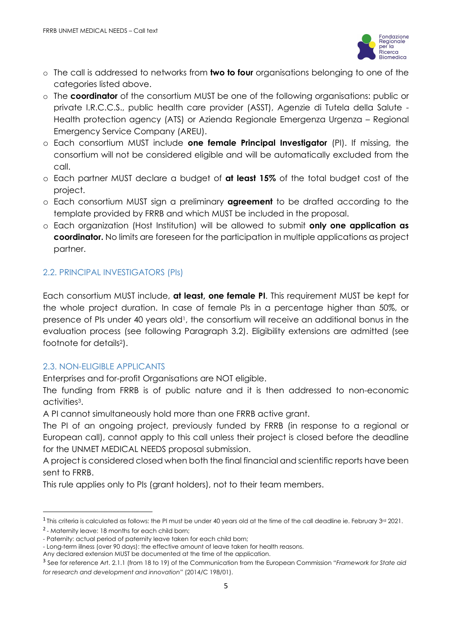

- o The call is addressed to networks from **two to four** organisations belonging to one of the categories listed above.
- o The **coordinator** of the consortium MUST be one of the following organisations: public or private I.R.C.C.S., public health care provider (ASST), Agenzie di Tutela della Salute - Health protection agency (ATS) or Azienda Regionale Emergenza Urgenza – Regional Emergency Service Company (AREU).
- o Each consortium MUST include **one female Principal Investigator** (PI). If missing, the consortium will not be considered eligible and will be automatically excluded from the call.
- o Each partner MUST declare a budget of **at least 15%** of the total budget cost of the project.
- o Each consortium MUST sign a preliminary **agreement** to be drafted according to the template provided by FRRB and which MUST be included in the proposal.
- o Each organization (Host Institution) will be allowed to submit **only one application as coordinator.** No limits are foreseen for the participation in multiple applications as project partner.

# <span id="page-4-0"></span>2.2. PRINCIPAL INVESTIGATORS (PIs)

Each consortium MUST include, **at least, one female PI**. This requirement MUST be kept for the whole project duration. In case of female PIs in a percentage higher than 50%, or presence of PIs under 40 years old<sup>1</sup>, the consortium will receive an additional bonus in the evaluation process (see following Paragraph 3.2). Eligibility extensions are admitted (see footnote for details2).

# <span id="page-4-1"></span>2.3. NON-ELIGIBLE APPLICANTS

Enterprises and for-profit Organisations are NOT eligible.

The funding from FRRB is of public nature and it is then addressed to non-economic activities<sup>3</sup> .

A PI cannot simultaneously hold more than one FRRB active grant.

The PI of an ongoing project, previously funded by FRRB (in response to a regional or European call), cannot apply to this call unless their project is closed before the deadline for the UNMET MEDICAL NEEDS proposal submission.

A project is considered closed when both the final financial and scientific reports have been sent to FRRB.

This rule applies only to PIs (grant holders), not to their team members.

<sup>&</sup>lt;sup>1</sup> This criteria is calculated as follows: the PI must be under 40 years old at the time of the call deadline ie. February 3rd 2021.

<sup>&</sup>lt;sup>2</sup> - Maternity leave: 18 months for each child born;

<sup>-</sup> Paternity: actual period of paternity leave taken for each child born;

<sup>-</sup> Long-term illness (over 90 days): the effective amount of leave taken for health reasons.

Any declared extension MUST be documented at the time of the application.

<sup>3</sup> See for reference Art. 2.1.1 (from 18 to 19) of the Communication from the European Commission "*Framework for State aid for research and development and innovation*" (2014/C 198/01).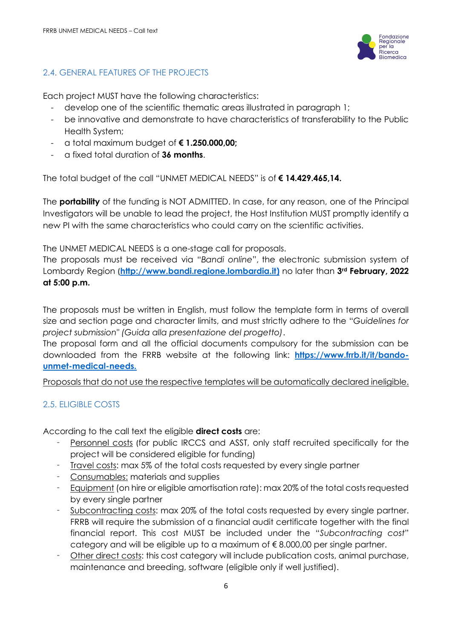

## <span id="page-5-0"></span>2.4. GENERAL FEATURES OF THE PROJECTS

Each project MUST have the following characteristics:

- develop one of the scientific thematic areas illustrated in paragraph 1;
- be innovative and demonstrate to have characteristics of transferability to the Public Health System;
- a total maximum budget of **€ 1.250.000,00;**
- a fixed total duration of **36 months**.

The total budget of the call "UNMET MEDICAL NEEDS" is of **€ 14.429.465,14.**

The **portability** of the funding is NOT ADMITTED. In case, for any reason, one of the Principal Investigators will be unable to lead the project, the Host Institution MUST promptly identify a new PI with the same characteristics who could carry on the scientific activities.

The UNMET MEDICAL NEEDS is a one-stage call for proposals.

The proposals must be received via "*Bandi online*", the electronic submission system of Lombardy Region (**[http://www.bandi.regione.lombardia.it\)](http://www.bandi.regione.lombardia.it/)** no later than **3rd February, 2022 at 5:00 p.m.**

The proposals must be written in English, must follow the template form in terms of overall size and section page and character limits, and must strictly adhere to the "*Guidelines for project submission" (Guida alla presentazione del progetto)*.

The proposal form and all the official documents compulsory for the submission can be downloaded from the FRRB website at the following link: **[https://www.frrb.it/it/bando](https://www.frrb.it/it/bando-unmet-medical-needs)[unmet-medical-needs.](https://www.frrb.it/it/bando-unmet-medical-needs)**

Proposals that do not use the respective templates will be automatically declared ineligible.

# <span id="page-5-1"></span>2.5. ELIGIBLE COSTS

According to the call text the eligible **direct costs** are:

- Personnel costs (for public IRCCS and ASST, only staff recruited specifically for the project will be considered eligible for funding)
- Travel costs: max 5% of the total costs requested by every single partner
- Consumables: materials and supplies
- Equipment (on hire or eligible amortisation rate): max 20% of the total costs requested by every single partner
- Subcontracting costs: max 20% of the total costs requested by every single partner. FRRB will require the submission of a financial audit certificate together with the final financial report. This cost MUST be included under the "*Subcontracting cost*" category and will be eligible up to a maximum of  $\epsilon$  8.000,00 per single partner.
- Other direct costs: this cost category will include publication costs, animal purchase, maintenance and breeding, software (eligible only if well justified).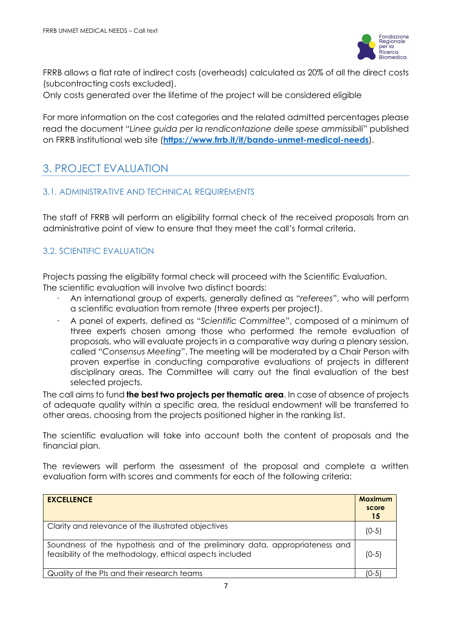

FRRB allows a flat rate of indirect costs (overheads) calculated as 20% of all the direct costs (subcontracting costs excluded).

Only costs generated over the lifetime of the project will be considered eligible

For more information on the cost categories and the related admitted percentages please read the document "*Linee guida per la rendicontazione delle spese ammissibili*" published on FRRB institutional web site (**<https://www.frrb.it/it/bando-unmet-medical-needs>**).

# <span id="page-6-0"></span>3. PROJECT EVALUATION

### <span id="page-6-1"></span>3.1. ADMINISTRATIVE AND TECHNICAL REQUIREMENTS

The staff of FRRB will perform an eligibility formal check of the received proposals from an administrative point of view to ensure that they meet the call's formal criteria.

## <span id="page-6-2"></span>3.2. SCIENTIFIC EVALUATION

Projects passing the eligibility formal check will proceed with the Scientific Evaluation. The scientific evaluation will involve two distinct boards:

- An international group of experts, generally defined as "*referees*", who will perform a scientific evaluation from remote (three experts per project).
- A panel of experts, defined as "*Scientific Committee*", composed of a minimum of three experts chosen among those who performed the remote evaluation of proposals, who will evaluate projects in a comparative way during a plenary session, called "*Consensus Meeting*". The meeting will be moderated by a Chair Person with proven expertise in conducting comparative evaluations of projects in different disciplinary areas. The Committee will carry out the final evaluation of the best selected projects.

The call aims to fund **the best two projects per thematic area**. In case of absence of projects of adequate quality within a specific area, the residual endowment will be transferred to other areas, choosing from the projects positioned higher in the ranking list.

The scientific evaluation will take into account both the content of proposals and the financial plan.

The reviewers will perform the assessment of the proposal and complete a written evaluation form with scores and comments for each of the following criteria:

| <b>EXCELLENCE</b>                                                                                                                        | <b>Maximum</b><br>score<br>15 |
|------------------------------------------------------------------------------------------------------------------------------------------|-------------------------------|
| Clarity and relevance of the illustrated objectives                                                                                      | $(0-5)$                       |
| Soundness of the hypothesis and of the preliminary data, appropriateness and<br>feasibility of the methodology, ethical aspects included | $(0-5)$                       |
| Quality of the PIs and their research teams                                                                                              | $(0-5)$                       |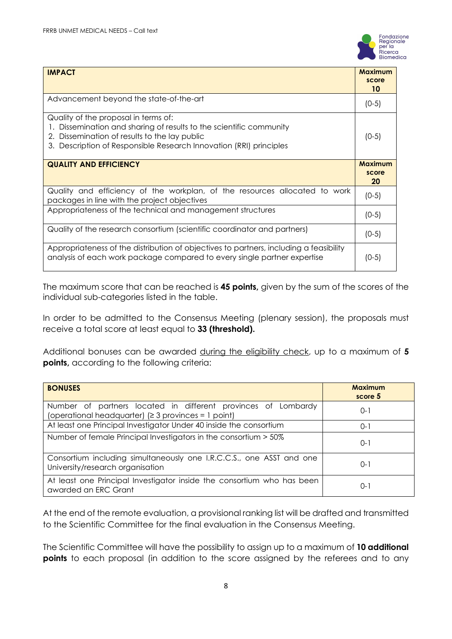

| <b>IMPACT</b>                                                                                                                                                                                                                   | <b>Maximum</b><br>score<br>10 |
|---------------------------------------------------------------------------------------------------------------------------------------------------------------------------------------------------------------------------------|-------------------------------|
| Advancement beyond the state-of-the-art                                                                                                                                                                                         | $(0-5)$                       |
| Quality of the proposal in terms of:<br>Dissemination and sharing of results to the scientific community<br>2. Dissemination of results to the lay public<br>3. Description of Responsible Research Innovation (RRI) principles | $(0-5)$                       |
| <b>QUALITY AND EFFICIENCY</b>                                                                                                                                                                                                   | <b>Maximum</b><br>score<br>20 |
| Quality and efficiency of the workplan, of the resources allocated to work<br>packages in line with the project objectives                                                                                                      | $(0-5)$                       |
| Appropriateness of the technical and management structures                                                                                                                                                                      | $(0-5)$                       |
| Quality of the research consortium (scientific coordinator and partners)                                                                                                                                                        | $(0-5)$                       |
| Appropriateness of the distribution of objectives to partners, including a feasibility<br>analysis of each work package compared to every single partner expertise                                                              | (0-5)                         |

The maximum score that can be reached is **45 points,** given by the sum of the scores of the individual sub-categories listed in the table.

In order to be admitted to the Consensus Meeting (plenary session), the proposals must receive a total score at least equal to **33 (threshold).**

Additional bonuses can be awarded during the eligibility check, up to a maximum of **5 points,** according to the following criteria:

| <b>BONUSES</b>                                                                                                         | <b>Maximum</b><br>score 5 |
|------------------------------------------------------------------------------------------------------------------------|---------------------------|
| Number of partners located in different provinces of Lombardy<br>(operational headquarter) $(≥ 3$ provinces = 1 point) | 0-1                       |
| At least one Principal Investigator Under 40 inside the consortium                                                     | $O-1$                     |
| Number of female Principal Investigators in the consortium > 50%                                                       | $O-1$                     |
| Consortium including simultaneously one I.R.C.C.S., one ASST and one<br>University/research organisation               | $O-1$                     |
| At least one Principal Investigator inside the consortium who has been<br>awarded an ERC Grant                         | $0 - 1$                   |

At the end of the remote evaluation, a provisional ranking list will be drafted and transmitted to the Scientific Committee for the final evaluation in the Consensus Meeting.

The Scientific Committee will have the possibility to assign up to a maximum of **10 additional points** to each proposal (in addition to the score assigned by the referees and to any